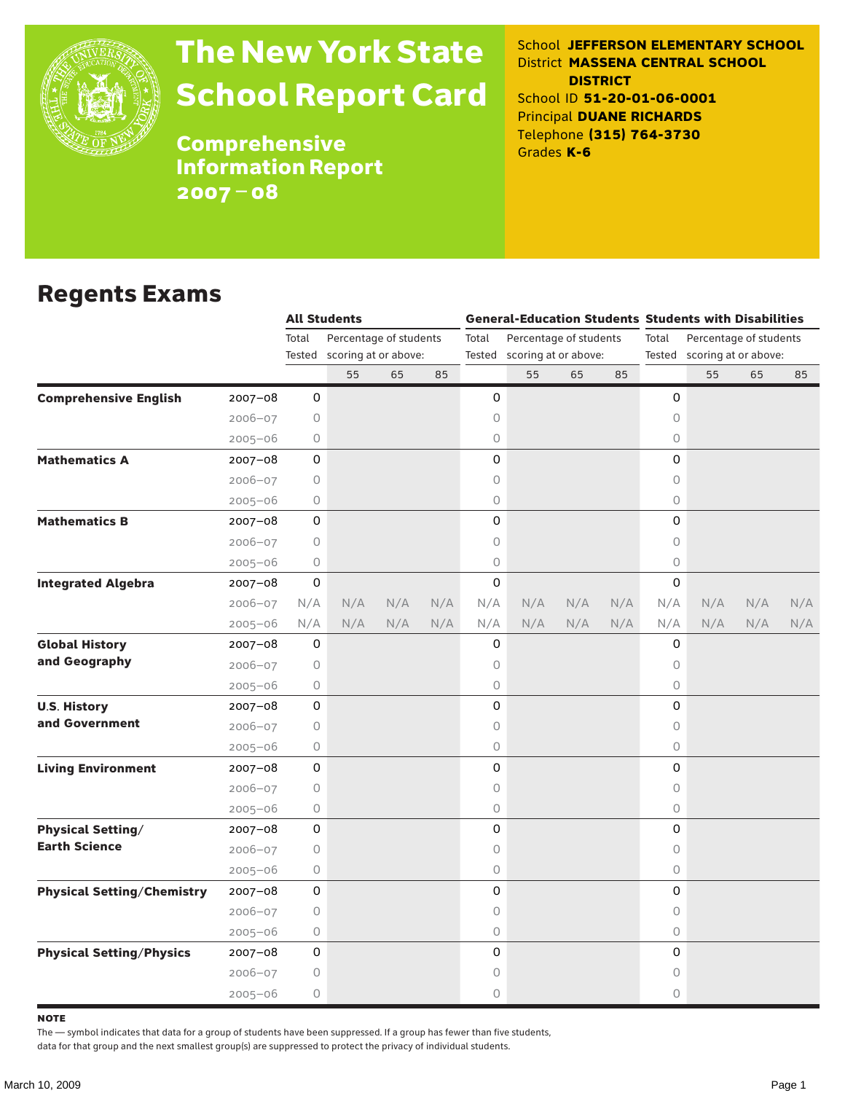

## The New York State School Report Card

School **JEFFERSON ELEMENTARY SCHOOL** District **MASSENA CENTRAL SCHOOL DISTRICT** School ID **51-20-01-06-0001** Principal **DUANE RICHARDS** Telephone **(315) 764-3730** Grades **K-6**

**Comprehensive** Information Report 2007–08

#### Regents Exams

|                                   |             | <b>All Students</b> |                             |     |     | <b>General-Education Students Students with Disabilities</b> |                        |     |     |                             |                        |     |     |  |  |
|-----------------------------------|-------------|---------------------|-----------------------------|-----|-----|--------------------------------------------------------------|------------------------|-----|-----|-----------------------------|------------------------|-----|-----|--|--|
|                                   |             | Total               | Percentage of students      |     |     | Total                                                        | Percentage of students |     |     | Total                       | Percentage of students |     |     |  |  |
|                                   |             |                     | Tested scoring at or above: |     |     | Tested scoring at or above:                                  |                        |     |     | Tested scoring at or above: |                        |     |     |  |  |
|                                   |             |                     | 55                          | 65  | 85  |                                                              | 55                     | 65  | 85  |                             | 55                     | 65  | 85  |  |  |
| <b>Comprehensive English</b>      | $2007 - 08$ | 0                   |                             |     |     | 0                                                            |                        |     |     | 0                           |                        |     |     |  |  |
|                                   | $2006 - 07$ | 0                   |                             |     |     | 0                                                            |                        |     |     | 0                           |                        |     |     |  |  |
|                                   | $2005 - 06$ | 0                   |                             |     |     | 0                                                            |                        |     |     | 0                           |                        |     |     |  |  |
| <b>Mathematics A</b>              | $2007 - 08$ | 0                   |                             |     |     | 0                                                            |                        |     |     | 0                           |                        |     |     |  |  |
|                                   | $2006 - 07$ | 0                   |                             |     |     | 0                                                            |                        |     |     | 0                           |                        |     |     |  |  |
|                                   | $2005 - 06$ | 0                   |                             |     |     | 0                                                            |                        |     |     | $\circ$                     |                        |     |     |  |  |
| <b>Mathematics B</b>              | $2007 - 08$ | 0                   |                             |     |     | 0                                                            |                        |     |     | 0                           |                        |     |     |  |  |
|                                   | $2006 - 07$ | $\circ$             |                             |     |     | 0                                                            |                        |     |     | $\circ$                     |                        |     |     |  |  |
|                                   | $2005 - 06$ | 0                   |                             |     |     | 0                                                            |                        |     |     | 0                           |                        |     |     |  |  |
| <b>Integrated Algebra</b>         | $2007 - 08$ | $\mathsf{O}\xspace$ |                             |     |     | 0                                                            |                        |     |     | $\mathbf 0$                 |                        |     |     |  |  |
|                                   | 2006-07     | N/A                 | N/A                         | N/A | N/A | N/A                                                          | N/A                    | N/A | N/A | N/A                         | N/A                    | N/A | N/A |  |  |
|                                   | $2005 - 06$ | N/A                 | N/A                         | N/A | N/A | N/A                                                          | N/A                    | N/A | N/A | N/A                         | N/A                    | N/A | N/A |  |  |
| <b>Global History</b>             | $2007 - 08$ | 0                   |                             |     |     | 0                                                            |                        |     |     | 0                           |                        |     |     |  |  |
| and Geography                     | $2006 - 07$ | $\circ$             |                             |     |     | 0                                                            |                        |     |     | 0                           |                        |     |     |  |  |
|                                   | $2005 - 06$ | 0                   |                             |     |     | 0                                                            |                        |     |     | 0                           |                        |     |     |  |  |
| <b>U.S. History</b>               | $2007 - 08$ | 0                   |                             |     |     | 0                                                            |                        |     |     | 0                           |                        |     |     |  |  |
| and Government                    | 2006-07     | 0                   |                             |     |     | 0                                                            |                        |     |     | 0                           |                        |     |     |  |  |
|                                   | $2005 - 06$ | 0                   |                             |     |     | 0                                                            |                        |     |     | 0                           |                        |     |     |  |  |
| <b>Living Environment</b>         | $2007 - 08$ | 0                   |                             |     |     | 0                                                            |                        |     |     | $\Omega$                    |                        |     |     |  |  |
|                                   | 2006-07     | 0                   |                             |     |     | 0                                                            |                        |     |     | $\circ$                     |                        |     |     |  |  |
|                                   | $2005 - 06$ | 0                   |                             |     |     | 0                                                            |                        |     |     | $\circ$                     |                        |     |     |  |  |
| <b>Physical Setting/</b>          | $2007 - 08$ | 0                   |                             |     |     | 0                                                            |                        |     |     | 0                           |                        |     |     |  |  |
| <b>Earth Science</b>              | $2006 - 07$ | 0                   |                             |     |     | 0                                                            |                        |     |     | 0                           |                        |     |     |  |  |
|                                   | $2005 - 06$ | 0                   |                             |     |     | 0                                                            |                        |     |     | $\circ$                     |                        |     |     |  |  |
| <b>Physical Setting/Chemistry</b> | $2007 - 08$ | 0                   |                             |     |     | 0                                                            |                        |     |     | 0                           |                        |     |     |  |  |
|                                   | $2006 - 07$ | 0                   |                             |     |     | 0                                                            |                        |     |     | 0                           |                        |     |     |  |  |
|                                   | $2005 - 06$ | 0                   |                             |     |     | 0                                                            |                        |     |     | $\circ$                     |                        |     |     |  |  |
| <b>Physical Setting/Physics</b>   | 2007-08     | 0                   |                             |     |     | 0                                                            |                        |     |     | 0                           |                        |     |     |  |  |
|                                   | $2006 - 07$ | 0                   |                             |     |     | 0                                                            |                        |     |     | 0                           |                        |     |     |  |  |
|                                   | $2005 - 06$ | 0                   |                             |     |     | 0                                                            |                        |     |     | 0                           |                        |     |     |  |  |

**NOTE** 

The — symbol indicates that data for a group of students have been suppressed. If a group has fewer than five students,

data for that group and the next smallest group(s) are suppressed to protect the privacy of individual students.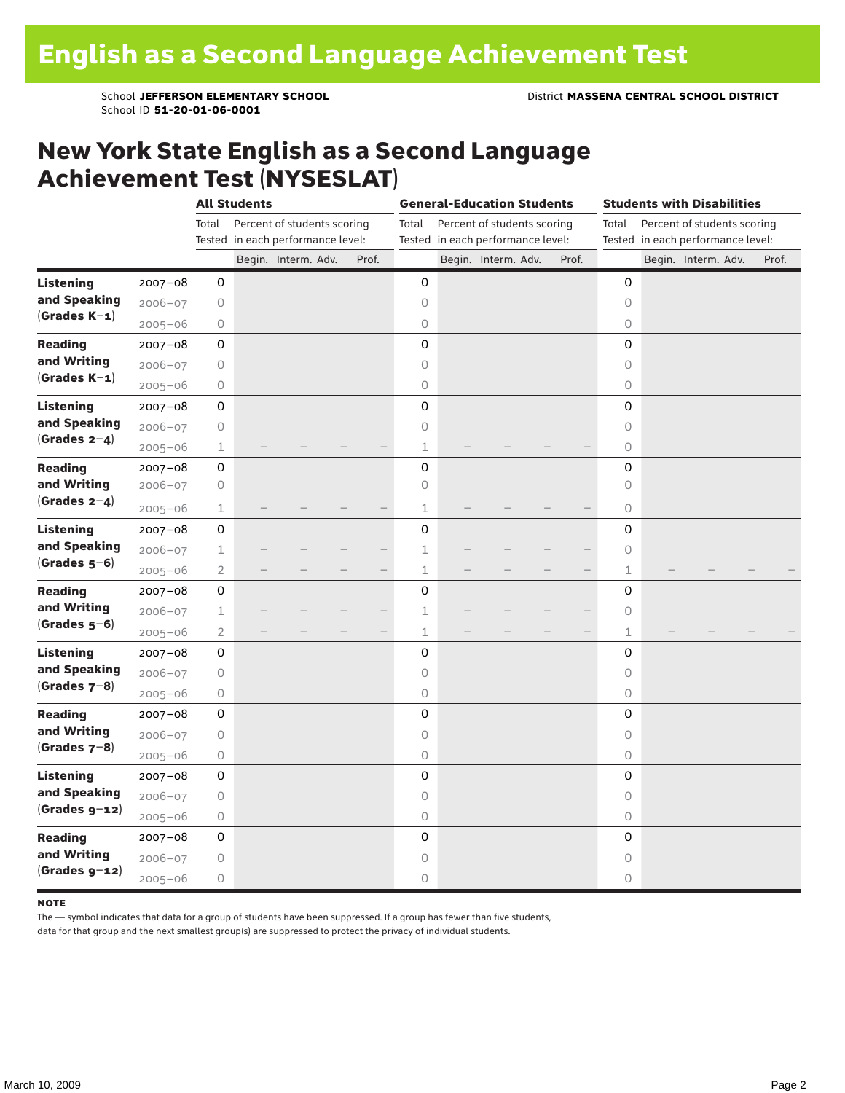School ID **51-20-01-06-0001**

#### New York State English as a Second Language Achievement Test (NYSESLAT)

|                  |             | <b>All Students</b> |                                   |                             |  |                                   | <b>General-Education Students</b> |  |                             |  |                                   | <b>Students with Disabilities</b> |  |                             |  |       |
|------------------|-------------|---------------------|-----------------------------------|-----------------------------|--|-----------------------------------|-----------------------------------|--|-----------------------------|--|-----------------------------------|-----------------------------------|--|-----------------------------|--|-------|
|                  |             | Total               |                                   | Percent of students scoring |  |                                   | Total                             |  | Percent of students scoring |  |                                   | Total                             |  | Percent of students scoring |  |       |
|                  |             |                     | Tested in each performance level: |                             |  | Tested in each performance level: |                                   |  |                             |  | Tested in each performance level: |                                   |  |                             |  |       |
|                  |             |                     |                                   | Begin. Interm. Adv.         |  | Prof.                             |                                   |  | Begin. Interm. Adv.         |  | Prof.                             |                                   |  | Begin. Interm. Adv.         |  | Prof. |
| <b>Listening</b> | 2007-08     | 0                   |                                   |                             |  |                                   | 0                                 |  |                             |  |                                   | 0                                 |  |                             |  |       |
| and Speaking     | $2006 - 07$ | 0                   |                                   |                             |  |                                   | 0                                 |  |                             |  |                                   | $\circ$                           |  |                             |  |       |
| $(Grades K-1)$   | $2005 - 06$ | 0                   |                                   |                             |  |                                   | $\circ$                           |  |                             |  |                                   | $\circ$                           |  |                             |  |       |
| <b>Reading</b>   | $2007 - 08$ | 0                   |                                   |                             |  |                                   | 0                                 |  |                             |  |                                   | 0                                 |  |                             |  |       |
| and Writing      | $2006 - 07$ | 0                   |                                   |                             |  |                                   | $\circ$                           |  |                             |  |                                   | $\circ$                           |  |                             |  |       |
| $(Grades K-1)$   | $2005 - 06$ | 0                   |                                   |                             |  |                                   | $\circ$                           |  |                             |  |                                   | 0                                 |  |                             |  |       |
| <b>Listening</b> | 2007-08     | 0                   |                                   |                             |  |                                   | 0                                 |  |                             |  |                                   | $\Omega$                          |  |                             |  |       |
| and Speaking     | $2006 - 07$ | 0                   |                                   |                             |  |                                   | $\circ$                           |  |                             |  |                                   | $\circ$                           |  |                             |  |       |
| (Grades $2-4$ )  | $2005 - 06$ | $\mathbf 1$         |                                   |                             |  |                                   | $\mathbf 1$                       |  |                             |  |                                   | $\circ$                           |  |                             |  |       |
| <b>Reading</b>   | $2007 - 08$ | 0                   |                                   |                             |  |                                   | 0                                 |  |                             |  |                                   | 0                                 |  |                             |  |       |
| and Writing      | 2006-07     | 0                   |                                   |                             |  |                                   | 0                                 |  |                             |  |                                   | $\circ$                           |  |                             |  |       |
| (Grades $2-4$ )  | $2005 - 06$ | $\mathbf 1$         |                                   |                             |  |                                   | $\mathbf{1}$                      |  |                             |  |                                   | 0                                 |  |                             |  |       |
| <b>Listening</b> | 2007-08     | 0                   |                                   |                             |  |                                   | 0                                 |  |                             |  |                                   | 0                                 |  |                             |  |       |
| and Speaking     | $2006 - 07$ | $\mathbf 1$         |                                   |                             |  |                                   | $\mathbf 1$                       |  |                             |  |                                   | 0                                 |  |                             |  |       |
| $(Grades 5-6)$   | $2005 - 06$ | $\overline{2}$      |                                   |                             |  |                                   | $\perp$                           |  |                             |  |                                   | 1                                 |  |                             |  |       |
| <b>Reading</b>   | $2007 - 08$ | 0                   |                                   |                             |  |                                   | 0                                 |  |                             |  |                                   | 0                                 |  |                             |  |       |
| and Writing      | $2006 - 07$ | $\mathbf 1$         |                                   |                             |  |                                   | $\mathbf 1$                       |  |                             |  |                                   | $\circ$                           |  |                             |  |       |
| $(Grades 5-6)$   | $2005 - 06$ | $\overline{2}$      |                                   |                             |  |                                   | $\mathbf 1$                       |  |                             |  |                                   | 1                                 |  |                             |  |       |
| <b>Listening</b> | $2007 - 08$ | 0                   |                                   |                             |  |                                   | 0                                 |  |                             |  |                                   | 0                                 |  |                             |  |       |
| and Speaking     | $2006 - 07$ | 0                   |                                   |                             |  |                                   | $\circ$                           |  |                             |  |                                   | $\circ$                           |  |                             |  |       |
| (Grades $7-8$ )  | $2005 - 06$ | 0                   |                                   |                             |  |                                   | 0                                 |  |                             |  |                                   | 0                                 |  |                             |  |       |
| <b>Reading</b>   | $2007 - 08$ | 0                   |                                   |                             |  |                                   | 0                                 |  |                             |  |                                   | 0                                 |  |                             |  |       |
| and Writing      | $2006 - 07$ | 0                   |                                   |                             |  |                                   | $\circ$                           |  |                             |  |                                   | $\circ$                           |  |                             |  |       |
| $(Grades 7-8)$   | $2005 - 06$ | 0                   |                                   |                             |  |                                   | $\bigcirc$                        |  |                             |  |                                   | 0                                 |  |                             |  |       |
| <b>Listening</b> | $2007 - 08$ | 0                   |                                   |                             |  |                                   | 0                                 |  |                             |  |                                   | 0                                 |  |                             |  |       |
| and Speaking     | $2006 - 07$ | 0                   |                                   |                             |  |                                   | $\circ$                           |  |                             |  |                                   | $\circ$                           |  |                             |  |       |
| $(Grades g-12)$  | $2005 - 06$ | 0                   |                                   |                             |  |                                   | $\bigcirc$                        |  |                             |  |                                   | 0                                 |  |                             |  |       |
| <b>Reading</b>   | 2007-08     | 0                   |                                   |                             |  |                                   | 0                                 |  |                             |  |                                   | 0                                 |  |                             |  |       |
| and Writing      | $2006 - 07$ | 0                   |                                   |                             |  |                                   | 0                                 |  |                             |  |                                   | $\circ$                           |  |                             |  |       |
| $(Grades g-12)$  | $2005 - 06$ | 0                   |                                   |                             |  |                                   | $\circ$                           |  |                             |  |                                   | 0                                 |  |                             |  |       |

#### **NOTE**

The — symbol indicates that data for a group of students have been suppressed. If a group has fewer than five students,

data for that group and the next smallest group(s) are suppressed to protect the privacy of individual students.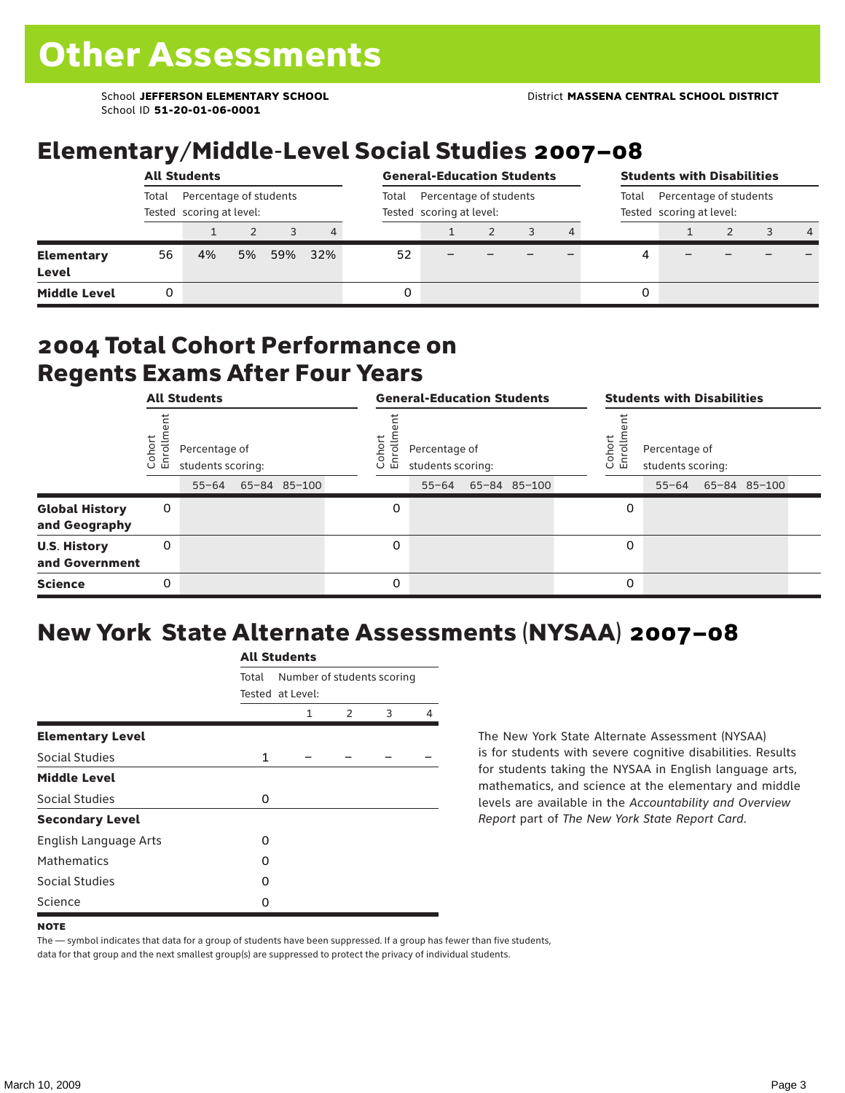School ID **51-20-01-06-0001**

### Elementary/Middle-Level Social Studies 2007–08

|                            | <b>All Students</b>                                         |    |    |     |     |       | <b>General-Education Students</b>                  |                                                             | <b>Students with Disabilities</b> |   |  |  |  |   |  |
|----------------------------|-------------------------------------------------------------|----|----|-----|-----|-------|----------------------------------------------------|-------------------------------------------------------------|-----------------------------------|---|--|--|--|---|--|
|                            | Percentage of students<br>Total<br>Tested scoring at level: |    |    |     |     | Total | Percentage of students<br>Tested scoring at level: | Percentage of students<br>Total<br>Tested scoring at level: |                                   |   |  |  |  |   |  |
|                            |                                                             |    |    |     | 4   |       |                                                    |                                                             |                                   |   |  |  |  | 4 |  |
| <b>Elementary</b><br>Level | 56                                                          | 4% | 5% | 59% | 32% | 52    |                                                    |                                                             |                                   |   |  |  |  |   |  |
| <b>Middle Level</b>        |                                                             |    |    |     |     | 0     |                                                    |                                                             |                                   | 0 |  |  |  |   |  |

#### 2004 Total Cohort Performance on Regents Exams After Four Years

|                                        | <b>All Students</b> |                                                 |  |              | <b>General-Education Students</b> |                                                 |  |              |  |                  | <b>Students with Disabilities</b>  |  |                    |  |  |  |
|----------------------------------------|---------------------|-------------------------------------------------|--|--------------|-----------------------------------|-------------------------------------------------|--|--------------|--|------------------|------------------------------------|--|--------------------|--|--|--|
|                                        | Cohort<br>Enrollm   | Percentage of<br>students scoring:<br>$55 - 64$ |  | 65-84 85-100 | Cohoi<br>o.<br>屲                  | Percentage of<br>students scoring:<br>$55 - 64$ |  | 65-84 85-100 |  | Cohort<br>S<br>문 | Percentage of<br>students scoring: |  | 55-64 65-84 85-100 |  |  |  |
| <b>Global History</b><br>and Geography | 0                   |                                                 |  |              | 0                                 |                                                 |  |              |  | 0                |                                    |  |                    |  |  |  |
| <b>U.S. History</b><br>and Government  | 0                   |                                                 |  |              | 0                                 |                                                 |  |              |  | 0                |                                    |  |                    |  |  |  |
| <b>Science</b>                         | 0                   |                                                 |  |              | 0                                 |                                                 |  |              |  | 0                |                                    |  |                    |  |  |  |

### New York State Alternate Assessments (NYSAA) 2007–08

|                         | <b>All Students</b> |                                                |               |   |   |  |  |  |  |  |  |
|-------------------------|---------------------|------------------------------------------------|---------------|---|---|--|--|--|--|--|--|
|                         | Total               | Number of students scoring<br>Tested at Level: |               |   |   |  |  |  |  |  |  |
|                         |                     | 1                                              | $\mathcal{P}$ | 3 | 4 |  |  |  |  |  |  |
| <b>Elementary Level</b> |                     |                                                |               |   |   |  |  |  |  |  |  |
| Social Studies          | $\mathbf{1}$        |                                                |               |   |   |  |  |  |  |  |  |
| <b>Middle Level</b>     |                     |                                                |               |   |   |  |  |  |  |  |  |
| Social Studies          | $\Omega$            |                                                |               |   |   |  |  |  |  |  |  |
| <b>Secondary Level</b>  |                     |                                                |               |   |   |  |  |  |  |  |  |
| English Language Arts   | O                   |                                                |               |   |   |  |  |  |  |  |  |
| <b>Mathematics</b>      | O                   |                                                |               |   |   |  |  |  |  |  |  |
| <b>Social Studies</b>   | O                   |                                                |               |   |   |  |  |  |  |  |  |
| Science                 | O                   |                                                |               |   |   |  |  |  |  |  |  |

The New York State Alternate Assessment (NYSAA) is for students with severe cognitive disabilities. Results for students taking the NYSAA in English language arts, mathematics, and science at the elementary and middle levels are available in the *Accountability and Overview Report* part of *The New York State Report Card*.

The — symbol indicates that data for a group of students have been suppressed. If a group has fewer than five students, data for that group and the next smallest group(s) are suppressed to protect the privacy of individual students.

**NOTE**